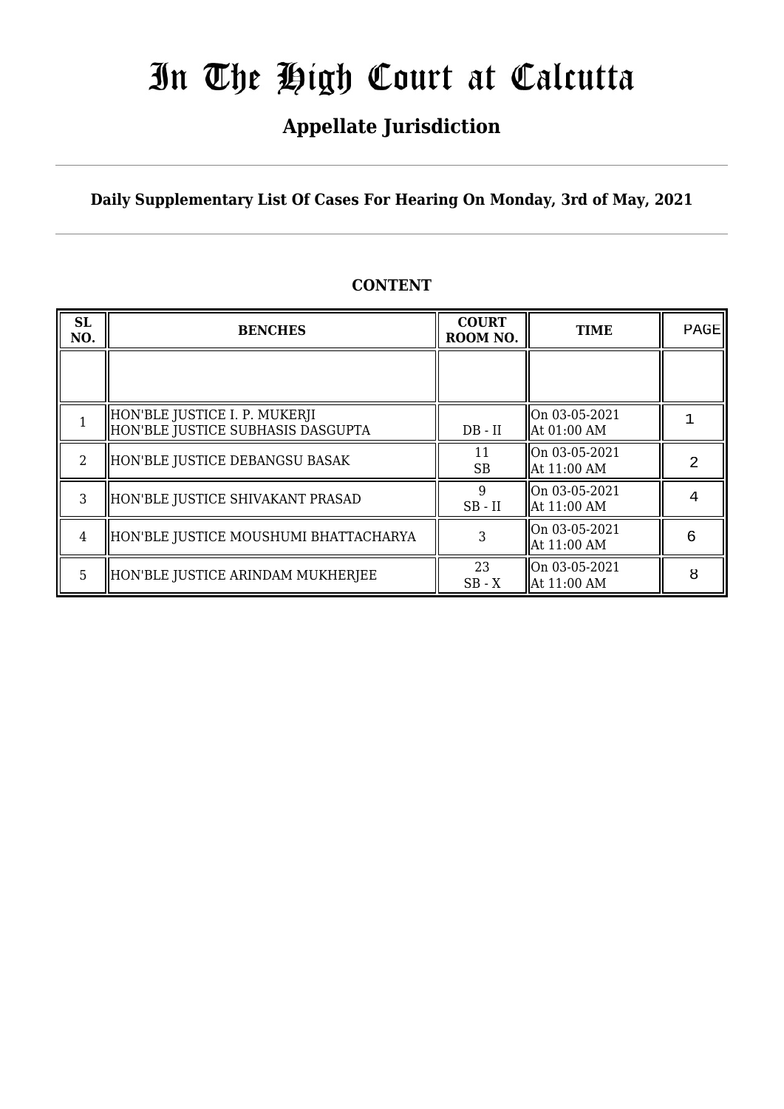## **Appellate Jurisdiction**

**Daily Supplementary List Of Cases For Hearing On Monday, 3rd of May, 2021**

| SL<br>NO. | <b>BENCHES</b>                                                     | <b>COURT</b><br>ROOM NO. | <b>TIME</b>                  | PAGE |
|-----------|--------------------------------------------------------------------|--------------------------|------------------------------|------|
|           |                                                                    |                          |                              |      |
|           | HON'BLE JUSTICE I. P. MUKERJI<br>HON'BLE JUSTICE SUBHASIS DASGUPTA | $DB - II$                | On 03-05-2021<br>At 01:00 AM |      |
| 2         | HON'BLE JUSTICE DEBANGSU BASAK                                     | 11<br><b>SB</b>          | On 03-05-2021<br>At 11:00 AM | 2    |
| 3         | HON'BLE JUSTICE SHIVAKANT PRASAD                                   | $SB$ - $II$              | On 03-05-2021<br>At 11:00 AM |      |
| 4         | HON'BLE JUSTICE MOUSHUMI BHATTACHARYA                              |                          | On 03-05-2021<br>At 11:00 AM | 6    |
| 5         | HON'BLE JUSTICE ARINDAM MUKHERJEE                                  | 23<br>$SB - X$           | On 03-05-2021<br>At 11:00 AM | 8    |

## **CONTENT**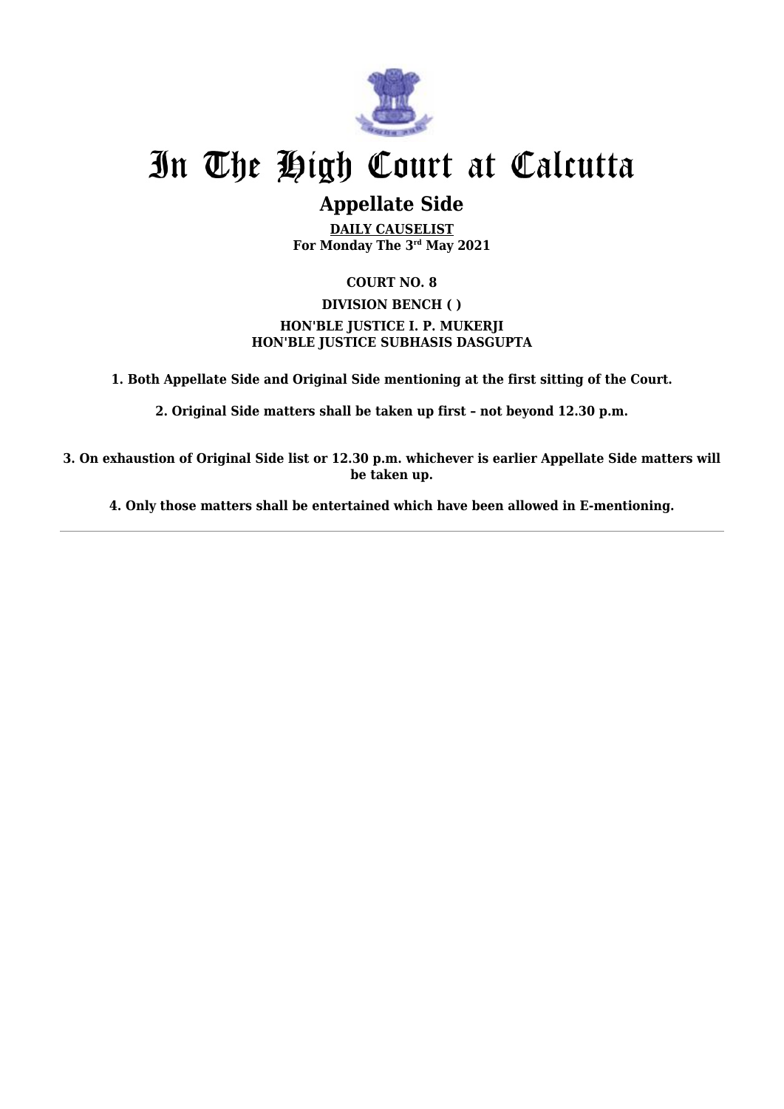

## **Appellate Side**

**DAILY CAUSELIST For Monday The 3rd May 2021**

## **COURT NO. 8**

## **DIVISION BENCH ( ) HON'BLE JUSTICE I. P. MUKERJI HON'BLE JUSTICE SUBHASIS DASGUPTA**

**1. Both Appellate Side and Original Side mentioning at the first sitting of the Court.**

**2. Original Side matters shall be taken up first – not beyond 12.30 p.m.**

**3. On exhaustion of Original Side list or 12.30 p.m. whichever is earlier Appellate Side matters will be taken up.**

**4. Only those matters shall be entertained which have been allowed in E-mentioning.**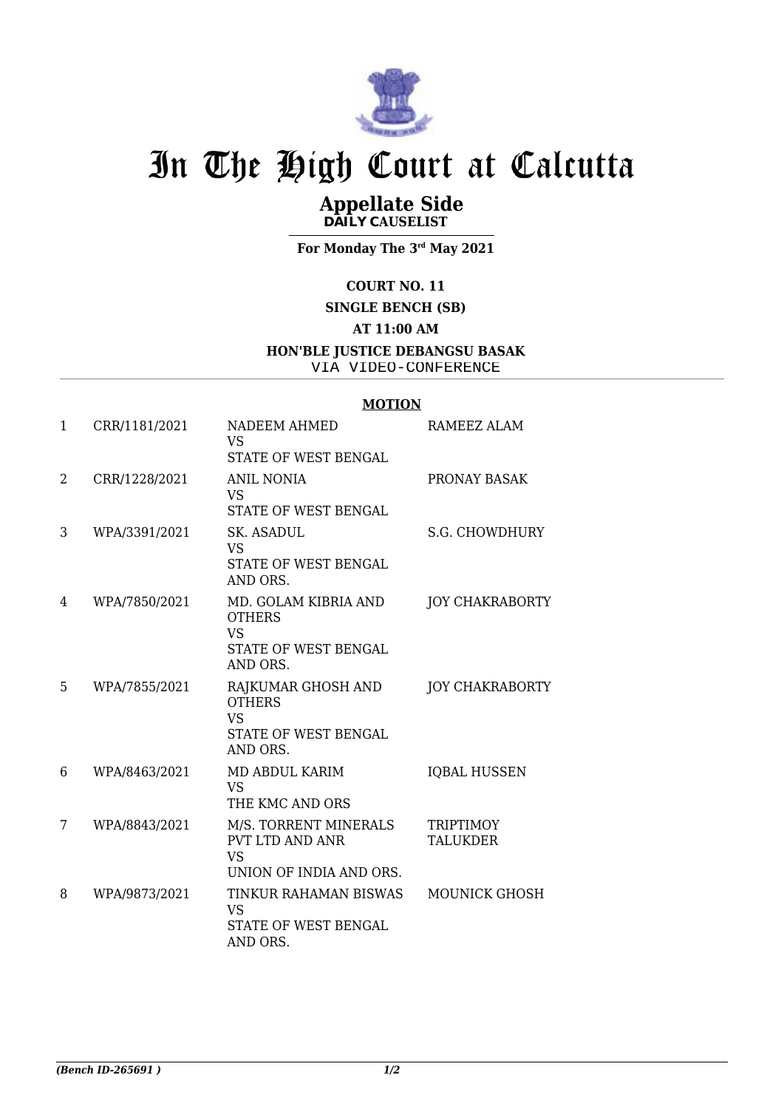

## **Appellate Side DAILY CAUSELIST**

**For Monday The 3rd May 2021**

### **COURT NO. 11**

### **SINGLE BENCH (SB)**

### **AT 11:00 AM**

#### **HON'BLE JUSTICE DEBANGSU BASAK**

VIA VIDEO-CONFERENCE

### **MOTION**

| 1 | CRR/1181/2021 | <b>NADEEM AHMED</b><br><b>VS</b><br>STATE OF WEST BENGAL                               | RAMEEZ ALAM                         |
|---|---------------|----------------------------------------------------------------------------------------|-------------------------------------|
| 2 | CRR/1228/2021 | <b>ANIL NONIA</b><br><b>VS</b><br>STATE OF WEST BENGAL                                 | PRONAY BASAK                        |
| 3 | WPA/3391/2021 | SK. ASADUL<br>VS<br>STATE OF WEST BENGAL<br>AND ORS.                                   | <b>S.G. CHOWDHURY</b>               |
| 4 | WPA/7850/2021 | MD. GOLAM KIBRIA AND<br><b>OTHERS</b><br><b>VS</b><br>STATE OF WEST BENGAL<br>AND ORS. | <b>JOY CHAKRABORTY</b>              |
| 5 | WPA/7855/2021 | RAJKUMAR GHOSH AND<br><b>OTHERS</b><br><b>VS</b><br>STATE OF WEST BENGAL<br>AND ORS.   | <b>JOY CHAKRABORTY</b>              |
| 6 | WPA/8463/2021 | MD ABDUL KARIM<br><b>VS</b><br>THE KMC AND ORS                                         | <b>IQBAL HUSSEN</b>                 |
| 7 | WPA/8843/2021 | M/S. TORRENT MINERALS<br>PVT LTD AND ANR<br><b>VS</b><br>UNION OF INDIA AND ORS.       | <b>TRIPTIMOY</b><br><b>TALUKDER</b> |
| 8 | WPA/9873/2021 | TINKUR RAHAMAN BISWAS<br>VS<br>STATE OF WEST BENGAL<br>AND ORS.                        | <b>MOUNICK GHOSH</b>                |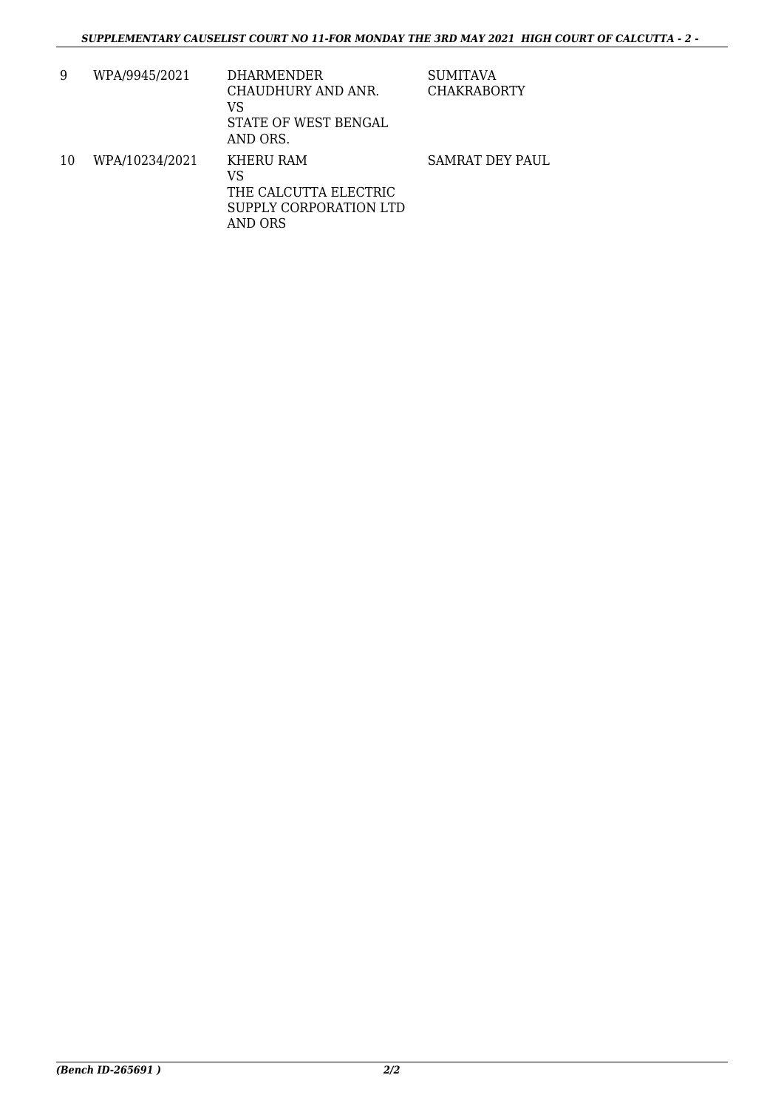| 9  | WPA/9945/2021  | <b>DHARMENDER</b><br>CHAUDHURY AND ANR.<br>VS<br>STATE OF WEST BENGAL<br>AND ORS. | <b>SUMITAVA</b><br><b>CHAKRABORTY</b> |
|----|----------------|-----------------------------------------------------------------------------------|---------------------------------------|
| 10 | WPA/10234/2021 | KHERU RAM<br>VS<br>THE CALCUTTA ELECTRIC<br>SUPPLY CORPORATION LTD<br>AND ORS     | <b>SAMRAT DEY PAUL</b>                |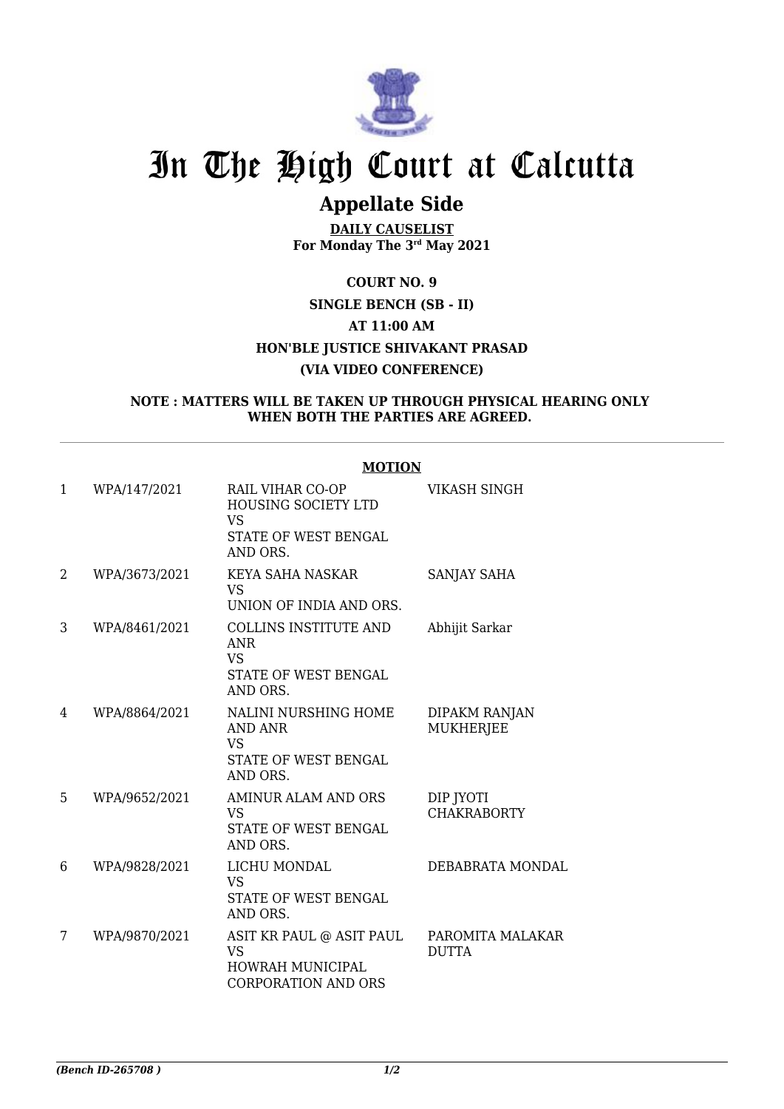

## **Appellate Side**

**DAILY CAUSELIST For Monday The 3rd May 2021**

## **COURT NO. 9 SINGLE BENCH (SB - II) AT 11:00 AM HON'BLE JUSTICE SHIVAKANT PRASAD (VIA VIDEO CONFERENCE)**

#### **NOTE : MATTERS WILL BE TAKEN UP THROUGH PHYSICAL HEARING ONLY WHEN BOTH THE PARTIES ARE AGREED.**

|                |               | MOTION                                                                                          |                                   |
|----------------|---------------|-------------------------------------------------------------------------------------------------|-----------------------------------|
| $\mathbf{1}$   | WPA/147/2021  | RAIL VIHAR CO-OP<br><b>HOUSING SOCIETY LTD</b><br><b>VS</b><br>STATE OF WEST BENGAL<br>AND ORS. | <b>VIKASH SINGH</b>               |
| $\overline{2}$ | WPA/3673/2021 | KEYA SAHA NASKAR<br>VS<br>UNION OF INDIA AND ORS.                                               | SANJAY SAHA                       |
| 3              | WPA/8461/2021 | <b>COLLINS INSTITUTE AND</b><br><b>ANR</b><br><b>VS</b><br>STATE OF WEST BENGAL<br>AND ORS.     | Abhijit Sarkar                    |
| 4              | WPA/8864/2021 | <b>NALINI NURSHING HOME</b><br>AND ANR<br><b>VS</b><br>STATE OF WEST BENGAL<br>AND ORS.         | DIPAKM RANJAN<br><b>MUKHERJEE</b> |
| 5              | WPA/9652/2021 | <b>AMINUR ALAM AND ORS</b><br><b>VS</b><br>STATE OF WEST BENGAL<br>AND ORS.                     | DIP JYOTI<br><b>CHAKRABORTY</b>   |
| 6              | WPA/9828/2021 | LICHU MONDAL<br><b>VS</b><br>STATE OF WEST BENGAL<br>AND ORS.                                   | DEBABRATA MONDAL                  |
| 7              | WPA/9870/2021 | ASIT KR PAUL @ ASIT PAUL<br><b>VS</b><br><b>HOWRAH MUNICIPAL</b><br><b>CORPORATION AND ORS</b>  | PAROMITA MALAKAR<br><b>DUTTA</b>  |

#### **MOTION**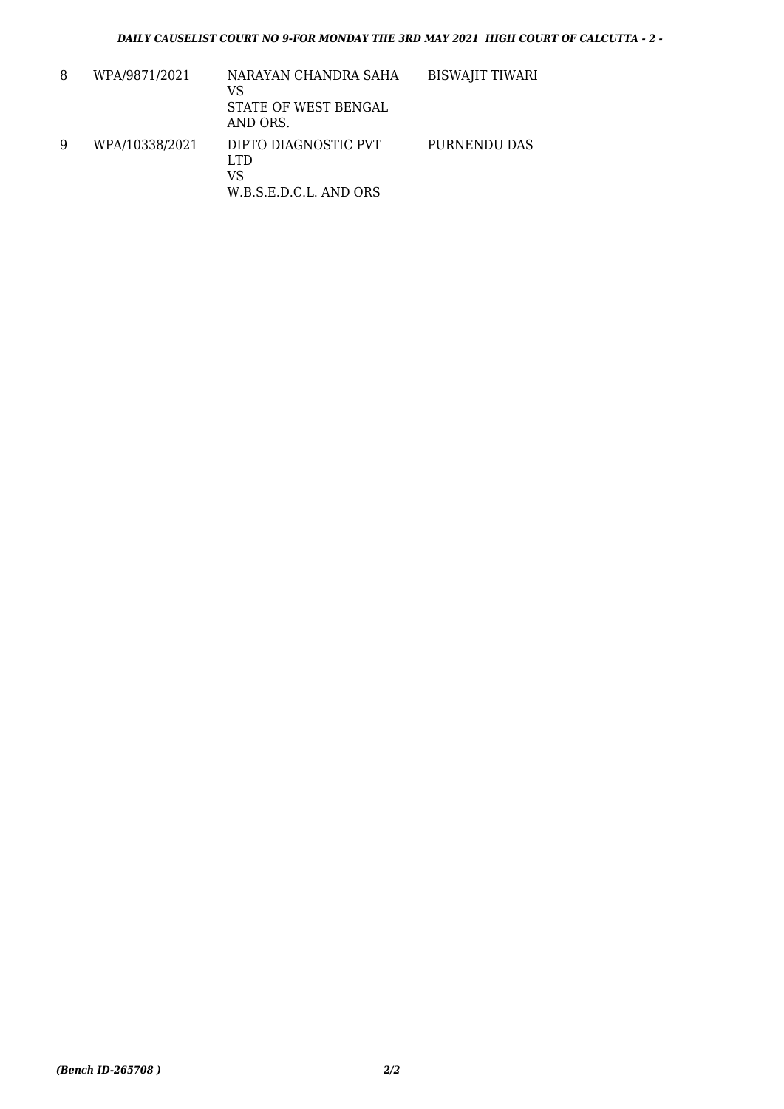| 8 | WPA/9871/2021  | NARAYAN CHANDRA SAHA<br>VS<br>STATE OF WEST BENGAL<br>AND ORS. | <b>BISWAJIT TIWARI</b> |
|---|----------------|----------------------------------------------------------------|------------------------|
| 9 | WPA/10338/2021 | DIPTO DIAGNOSTIC PVT<br>LTD.<br>VS<br>W.B.S.E.D.C.L. AND ORS   | PURNENDU DAS           |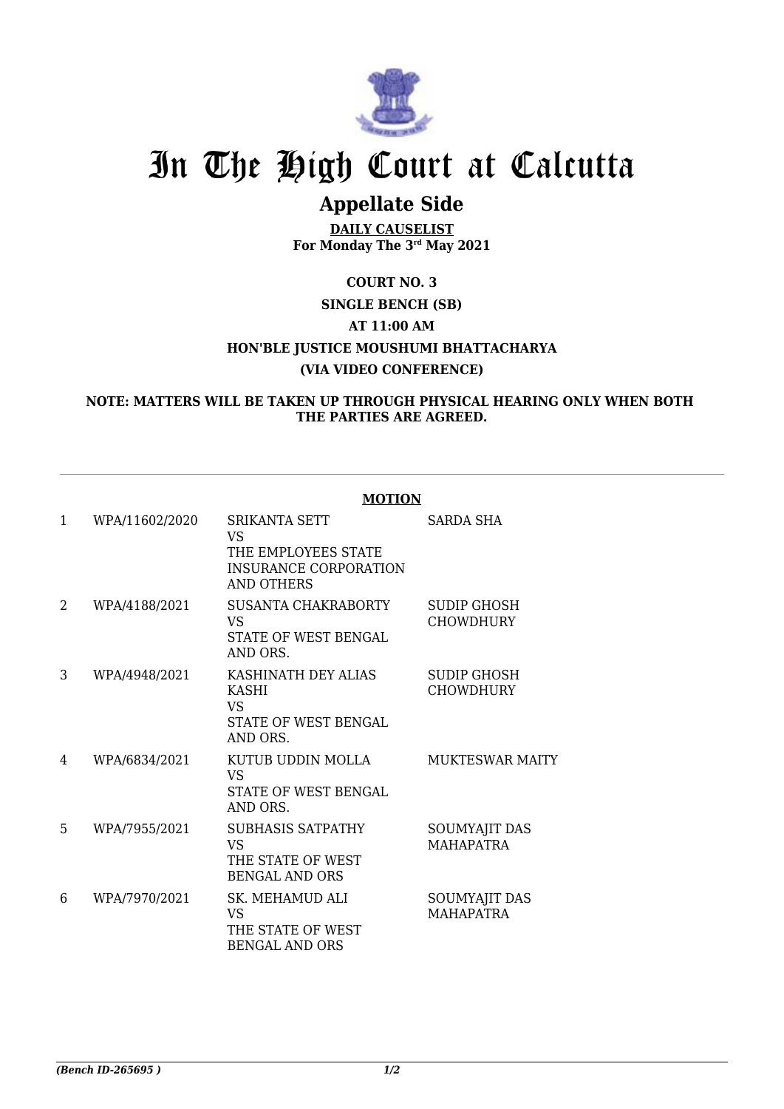

## **Appellate Side**

**DAILY CAUSELIST For Monday The 3rd May 2021**

## **COURT NO. 3 SINGLE BENCH (SB) AT 11:00 AM HON'BLE JUSTICE MOUSHUMI BHATTACHARYA (VIA VIDEO CONFERENCE)**

### **NOTE: MATTERS WILL BE TAKEN UP THROUGH PHYSICAL HEARING ONLY WHEN BOTH THE PARTIES ARE AGREED.**

|              |                | <b>MOTION</b>                                                                                          |                                        |
|--------------|----------------|--------------------------------------------------------------------------------------------------------|----------------------------------------|
| $\mathbf{1}$ | WPA/11602/2020 | <b>SRIKANTA SETT</b><br><b>VS</b><br>THE EMPLOYEES STATE<br><b>INSURANCE CORPORATION</b><br>AND OTHERS | SARDA SHA                              |
| 2            | WPA/4188/2021  | SUSANTA CHAKRABORTY<br><b>VS</b><br>STATE OF WEST BENGAL<br>AND ORS.                                   | <b>SUDIP GHOSH</b><br><b>CHOWDHURY</b> |
| 3            | WPA/4948/2021  | KASHINATH DEY ALIAS<br><b>KASHI</b><br><b>VS</b><br>STATE OF WEST BENGAL<br>AND ORS.                   | SUDIP GHOSH<br><b>CHOWDHURY</b>        |
| 4            | WPA/6834/2021  | KUTUB UDDIN MOLLA<br><b>VS</b><br><b>STATE OF WEST BENGAL</b><br>AND ORS.                              | <b>MUKTESWAR MAITY</b>                 |
| 5            | WPA/7955/2021  | <b>SUBHASIS SATPATHY</b><br><b>VS</b><br>THE STATE OF WEST<br><b>BENGAL AND ORS</b>                    | SOUMYAJIT DAS<br><b>MAHAPATRA</b>      |
| 6            | WPA/7970/2021  | SK. MEHAMUD ALI<br><b>VS</b><br>THE STATE OF WEST<br><b>BENGAL AND ORS</b>                             | SOUMYAJIT DAS<br><b>MAHAPATRA</b>      |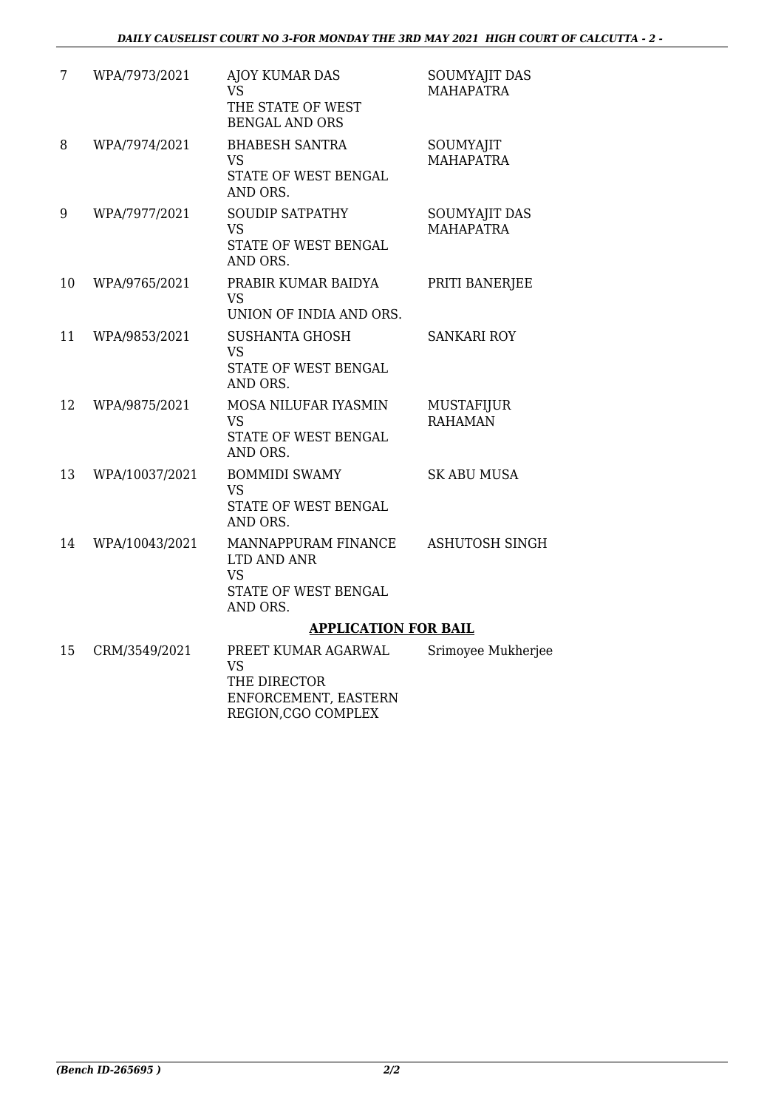| 7  | WPA/7973/2021  | <b>AJOY KUMAR DAS</b><br><b>VS</b><br>THE STATE OF WEST<br><b>BENGAL AND ORS</b>    | <b>SOUMYAJIT DAS</b><br><b>MAHAPATRA</b> |
|----|----------------|-------------------------------------------------------------------------------------|------------------------------------------|
| 8  | WPA/7974/2021  | <b>BHABESH SANTRA</b><br><b>VS</b><br>STATE OF WEST BENGAL<br>AND ORS.              | SOUMYAJIT<br><b>MAHAPATRA</b>            |
| 9  | WPA/7977/2021  | <b>SOUDIP SATPATHY</b><br><b>VS</b><br>STATE OF WEST BENGAL<br>AND ORS.             | SOUMYAJIT DAS<br><b>MAHAPATRA</b>        |
| 10 | WPA/9765/2021  | PRABIR KUMAR BAIDYA<br><b>VS</b><br>UNION OF INDIA AND ORS.                         | PRITI BANERJEE                           |
| 11 | WPA/9853/2021  | <b>SUSHANTA GHOSH</b><br><b>VS</b><br>STATE OF WEST BENGAL<br>AND ORS.              | <b>SANKARI ROY</b>                       |
| 12 | WPA/9875/2021  | MOSA NILUFAR IYASMIN<br><b>VS</b><br>STATE OF WEST BENGAL<br>AND ORS.               | <b>MUSTAFIJUR</b><br><b>RAHAMAN</b>      |
| 13 | WPA/10037/2021 | <b>BOMMIDI SWAMY</b><br><b>VS</b><br>STATE OF WEST BENGAL<br>AND ORS.               | <b>SK ABU MUSA</b>                       |
| 14 | WPA/10043/2021 | MANNAPPURAM FINANCE<br>LTD AND ANR<br><b>VS</b><br>STATE OF WEST BENGAL<br>AND ORS. | ASHUTOSH SINGH                           |
|    |                | <b>APPLICATION FOR BAIL</b>                                                         |                                          |
| 15 | CRM/3549/2021  | PREET KUMAR AGARWAL<br><b>VS</b><br>THE DIRECTOR<br>ENIEODOEN (ENIEL EA CEEDNI      | Srimoyee Mukherjee                       |

ENFORCEMENT, EASTERN REGION,CGO COMPLEX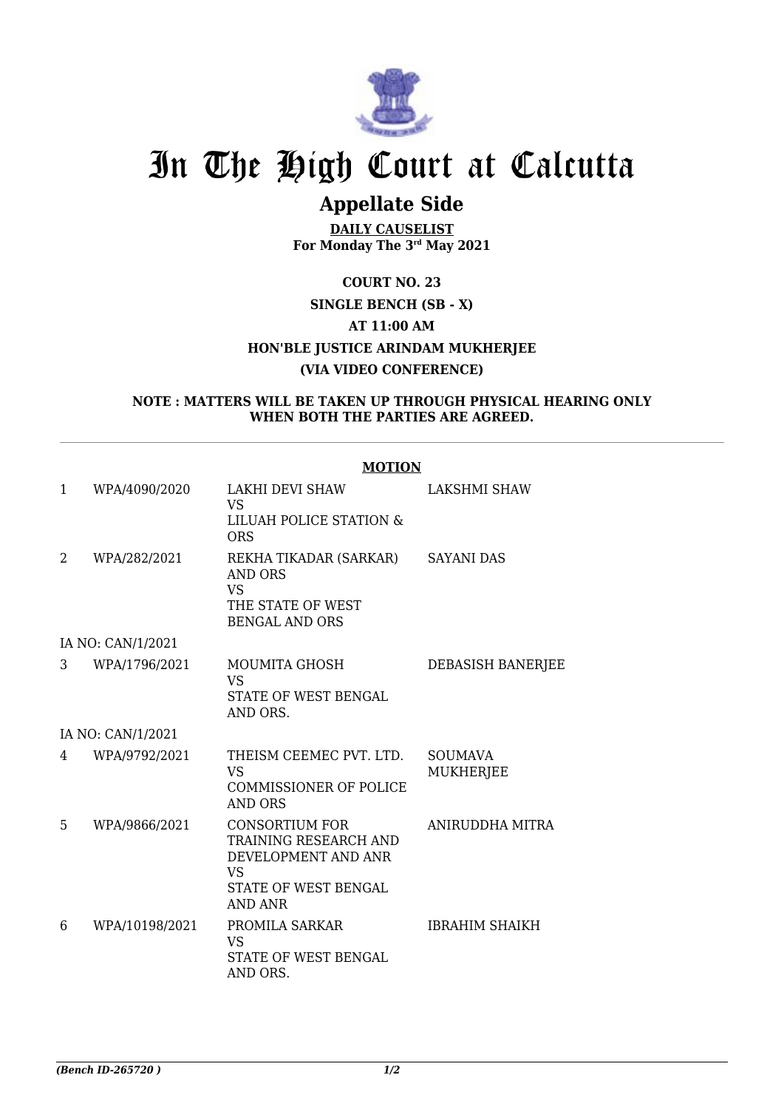

## **Appellate Side**

**DAILY CAUSELIST For Monday The 3rd May 2021**

## **COURT NO. 23 SINGLE BENCH (SB - X) AT 11:00 AM HON'BLE JUSTICE ARINDAM MUKHERJEE (VIA VIDEO CONFERENCE)**

#### **NOTE : MATTERS WILL BE TAKEN UP THROUGH PHYSICAL HEARING ONLY WHEN BOTH THE PARTIES ARE AGREED.**

|              |                   | <b>MOTION</b>                                                                                                          |                                    |  |
|--------------|-------------------|------------------------------------------------------------------------------------------------------------------------|------------------------------------|--|
| $\mathbf{1}$ | WPA/4090/2020     | LAKHI DEVI SHAW<br><b>VS</b><br>LILUAH POLICE STATION &<br><b>ORS</b>                                                  | <b>LAKSHMI SHAW</b>                |  |
| 2            | WPA/282/2021      | REKHA TIKADAR (SARKAR)<br>AND ORS<br><b>VS</b><br>THE STATE OF WEST<br><b>BENGAL AND ORS</b>                           | SAYANI DAS                         |  |
|              | IA NO: CAN/1/2021 |                                                                                                                        |                                    |  |
| 3            | WPA/1796/2021     | MOUMITA GHOSH<br><b>VS</b><br>STATE OF WEST BENGAL<br>AND ORS.                                                         | DEBASISH BANERJEE                  |  |
|              | IA NO: CAN/1/2021 |                                                                                                                        |                                    |  |
| 4            | WPA/9792/2021     | THEISM CEEMEC PVT. LTD.<br>VS.<br><b>COMMISSIONER OF POLICE</b><br><b>AND ORS</b>                                      | <b>SOUMAVA</b><br><b>MUKHERJEE</b> |  |
| 5            | WPA/9866/2021     | <b>CONSORTIUM FOR</b><br>TRAINING RESEARCH AND<br>DEVELOPMENT AND ANR<br>VS.<br>STATE OF WEST BENGAL<br><b>AND ANR</b> | ANIRUDDHA MITRA                    |  |
| 6            | WPA/10198/2021    | PROMILA SARKAR<br><b>VS</b><br>STATE OF WEST BENGAL<br>AND ORS.                                                        | <b>IBRAHIM SHAIKH</b>              |  |